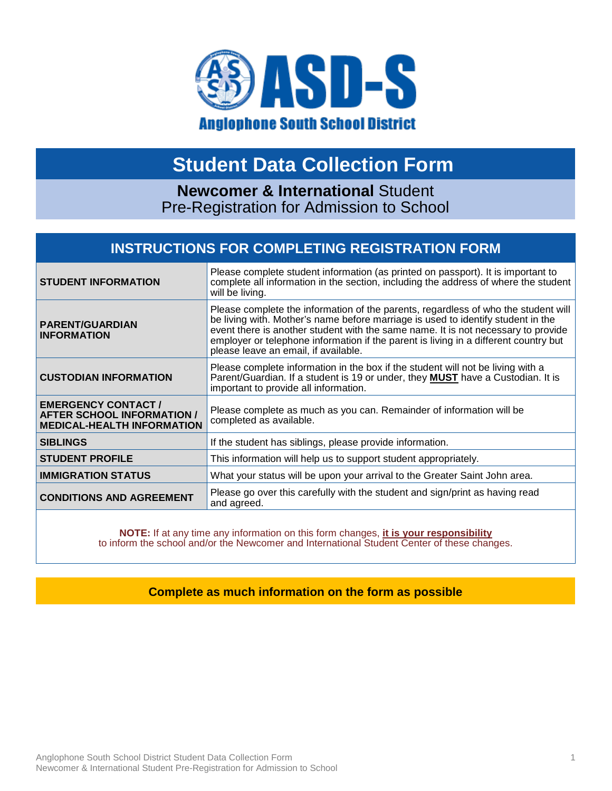

## **Student Data Collection Form**

**Newcomer & International** Student Pre-Registration for Admission to School

### **INSTRUCTIONS FOR COMPLETING REGISTRATION FORM**

| <b>STUDENT INFORMATION</b>                                                                          | Please complete student information (as printed on passport). It is important to<br>complete all information in the section, including the address of where the student<br>will be living.                                                                                                                                                                                                  |  |  |  |
|-----------------------------------------------------------------------------------------------------|---------------------------------------------------------------------------------------------------------------------------------------------------------------------------------------------------------------------------------------------------------------------------------------------------------------------------------------------------------------------------------------------|--|--|--|
| <b>PARENT/GUARDIAN</b><br><b>INFORMATION</b>                                                        | Please complete the information of the parents, regardless of who the student will<br>be living with. Mother's name before marriage is used to identify student in the<br>event there is another student with the same name. It is not necessary to provide<br>employer or telephone information if the parent is living in a different country but<br>please leave an email, if available. |  |  |  |
| <b>CUSTODIAN INFORMATION</b>                                                                        | Please complete information in the box if the student will not be living with a<br>Parent/Guardian. If a student is 19 or under, they <b>MUST</b> have a Custodian. It is<br>important to provide all information.                                                                                                                                                                          |  |  |  |
| <b>EMERGENCY CONTACT/</b><br><b>AFTER SCHOOL INFORMATION /</b><br><b>MEDICAL-HEALTH INFORMATION</b> | Please complete as much as you can. Remainder of information will be<br>completed as available.                                                                                                                                                                                                                                                                                             |  |  |  |
| <b>SIBLINGS</b>                                                                                     | If the student has siblings, please provide information.                                                                                                                                                                                                                                                                                                                                    |  |  |  |
| <b>STUDENT PROFILE</b>                                                                              | This information will help us to support student appropriately.                                                                                                                                                                                                                                                                                                                             |  |  |  |
| <b>IMMIGRATION STATUS</b>                                                                           | What your status will be upon your arrival to the Greater Saint John area.                                                                                                                                                                                                                                                                                                                  |  |  |  |
| <b>CONDITIONS AND AGREEMENT</b>                                                                     | Please go over this carefully with the student and sign/print as having read<br>and agreed.                                                                                                                                                                                                                                                                                                 |  |  |  |

**NOTE:** If at any time any information on this form changes, **it is your responsibility** to inform the school and/or the Newcomer and International Student Center of these changes.

#### **Complete as much information on the form as possible**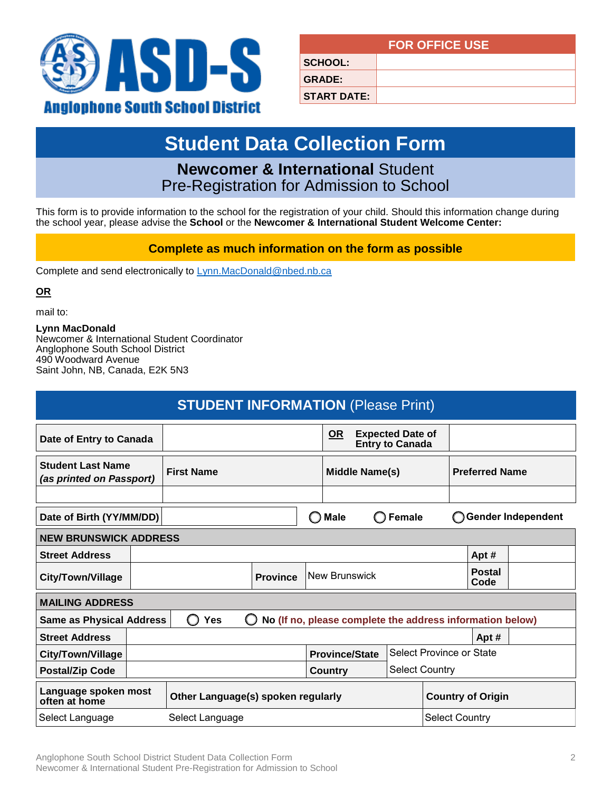

|                    | <b>FOR OFFICE USE</b> |
|--------------------|-----------------------|
| <b>SCHOOL:</b>     |                       |
| <b>GRADE:</b>      |                       |
| <b>START DATE:</b> |                       |

# **Student Data Collection Form**

### **Newcomer & International** Student Pre-Registration for Admission to School

This form is to provide information to the school for the registration of your child. Should this information change during the school year, please advise the **School** or the **Newcomer & International Student Welcome Center:** 

#### **Complete as much information on the form as possible**

Complete and send electronically to Lynn.MacDonald@nbed.nb.ca

**OR**

mail to:

**Lynn MacDonald** Newcomer & International Student Coordinator Anglophone South School District 490 Woodward Avenue Saint John, NB, Canada, E2K 5N3

| <b>STUDENT INFORMATION (Please Print)</b>                                                 |                                                                                        |            |  |                       |  |  |                       |  |                                                           |  |
|-------------------------------------------------------------------------------------------|----------------------------------------------------------------------------------------|------------|--|-----------------------|--|--|-----------------------|--|-----------------------------------------------------------|--|
| <b>OR</b><br><b>Expected Date of</b><br>Date of Entry to Canada<br><b>Entry to Canada</b> |                                                                                        |            |  |                       |  |  |                       |  |                                                           |  |
| <b>Student Last Name</b><br><b>First Name</b><br>(as printed on Passport)                 |                                                                                        |            |  | <b>Middle Name(s)</b> |  |  | <b>Preferred Name</b> |  |                                                           |  |
|                                                                                           |                                                                                        |            |  |                       |  |  |                       |  |                                                           |  |
|                                                                                           | $\bigcap$ Male<br><b>Gender Independent</b><br>Date of Birth (YY/MM/DD)<br>Female      |            |  |                       |  |  |                       |  |                                                           |  |
| <b>NEW BRUNSWICK ADDRESS</b>                                                              |                                                                                        |            |  |                       |  |  |                       |  |                                                           |  |
| <b>Street Address</b>                                                                     |                                                                                        |            |  |                       |  |  |                       |  | Apt#                                                      |  |
| City/Town/Village                                                                         | <b>Province</b>                                                                        |            |  | New Brunswick         |  |  | <b>Postal</b><br>Code |  |                                                           |  |
| <b>MAILING ADDRESS</b>                                                                    |                                                                                        |            |  |                       |  |  |                       |  |                                                           |  |
| <b>Same as Physical Address</b>                                                           |                                                                                        | <b>Yes</b> |  |                       |  |  |                       |  | No (If no, please complete the address information below) |  |
| <b>Street Address</b>                                                                     |                                                                                        |            |  |                       |  |  |                       |  | Apt #                                                     |  |
| <b>City/Town/Village</b>                                                                  | <b>Select Province or State</b><br><b>Province/State</b>                               |            |  |                       |  |  |                       |  |                                                           |  |
| <b>Select Country</b><br><b>Postal/Zip Code</b><br><b>Country</b>                         |                                                                                        |            |  |                       |  |  |                       |  |                                                           |  |
| often at home                                                                             | Language spoken most<br><b>Country of Origin</b><br>Other Language(s) spoken regularly |            |  |                       |  |  |                       |  |                                                           |  |
| Select Language                                                                           | Select Language<br><b>Select Country</b>                                               |            |  |                       |  |  |                       |  |                                                           |  |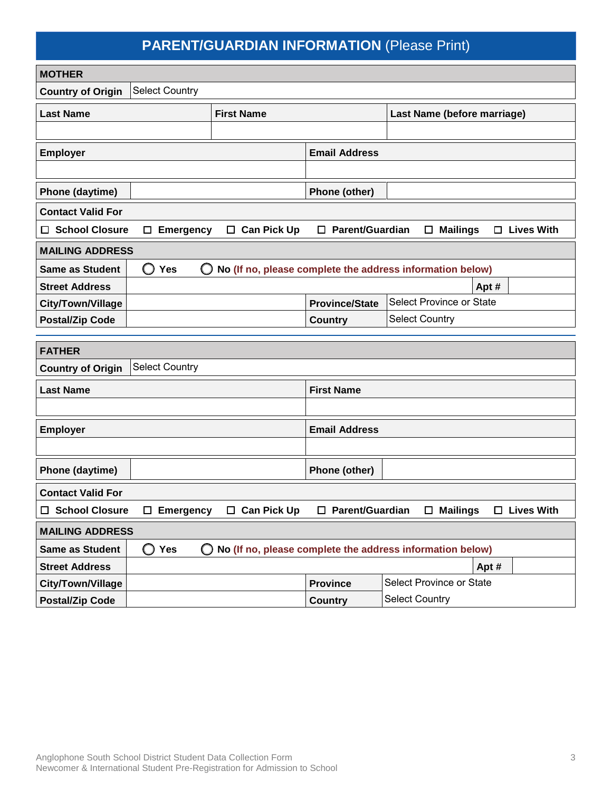### **PARENT/GUARDIAN INFORMATION** (Please Print)

| <b>MOTHER</b>                                                                                                              |                                                           |                        |                          |       |                   |  |
|----------------------------------------------------------------------------------------------------------------------------|-----------------------------------------------------------|------------------------|--------------------------|-------|-------------------|--|
| <b>Select Country</b><br><b>Country of Origin</b>                                                                          |                                                           |                        |                          |       |                   |  |
| <b>Last Name</b>                                                                                                           | Last Name (before marriage)                               |                        |                          |       |                   |  |
|                                                                                                                            |                                                           |                        |                          |       |                   |  |
| <b>Employer</b>                                                                                                            |                                                           | <b>Email Address</b>   |                          |       |                   |  |
|                                                                                                                            |                                                           |                        |                          |       |                   |  |
| Phone (daytime)                                                                                                            |                                                           | Phone (other)          |                          |       |                   |  |
| <b>Contact Valid For</b>                                                                                                   |                                                           |                        |                          |       |                   |  |
| <b>School Closure</b><br><b>Emergency</b><br>□<br>$\Box$                                                                   | $\Box$ Can Pick Up                                        | $\Box$ Parent/Guardian | $\square$ Mailings       |       | $\Box$ Lives With |  |
| <b>MAILING ADDRESS</b>                                                                                                     |                                                           |                        |                          |       |                   |  |
| <b>Yes</b><br><b>Same as Student</b><br>O                                                                                  | No (If no, please complete the address information below) |                        |                          |       |                   |  |
| <b>Street Address</b>                                                                                                      |                                                           |                        |                          | Apt # |                   |  |
| City/Town/Village                                                                                                          |                                                           | <b>Province/State</b>  | Select Province or State |       |                   |  |
| <b>Postal/Zip Code</b>                                                                                                     |                                                           | <b>Country</b>         | <b>Select Country</b>    |       |                   |  |
|                                                                                                                            |                                                           |                        |                          |       |                   |  |
| <b>FATHER</b>                                                                                                              |                                                           |                        |                          |       |                   |  |
| <b>Select Country</b><br><b>Country of Origin</b>                                                                          |                                                           |                        |                          |       |                   |  |
| <b>Last Name</b>                                                                                                           |                                                           | <b>First Name</b>      |                          |       |                   |  |
|                                                                                                                            |                                                           |                        |                          |       |                   |  |
| <b>Employer</b>                                                                                                            |                                                           | <b>Email Address</b>   |                          |       |                   |  |
|                                                                                                                            |                                                           |                        |                          |       |                   |  |
| Phone (daytime)                                                                                                            |                                                           | Phone (other)          |                          |       |                   |  |
| <b>Contact Valid For</b>                                                                                                   |                                                           |                        |                          |       |                   |  |
| □ School Closure<br>$\Box$ Emergency<br>$\Box$ Can Pick Up<br>□ Parent/Guardian<br>$\square$ Mailings<br>$\Box$ Lives With |                                                           |                        |                          |       |                   |  |
| <b>MAILING ADDRESS</b>                                                                                                     |                                                           |                        |                          |       |                   |  |
| O<br>Same as Student<br>Yes                                                                                                | No (If no, please complete the address information below) |                        |                          |       |                   |  |
| <b>Street Address</b>                                                                                                      |                                                           |                        |                          | Apt # |                   |  |
| City/Town/Village                                                                                                          |                                                           | <b>Province</b>        | Select Province or State |       |                   |  |
| <b>Postal/Zip Code</b>                                                                                                     |                                                           | <b>Country</b>         | <b>Select Country</b>    |       |                   |  |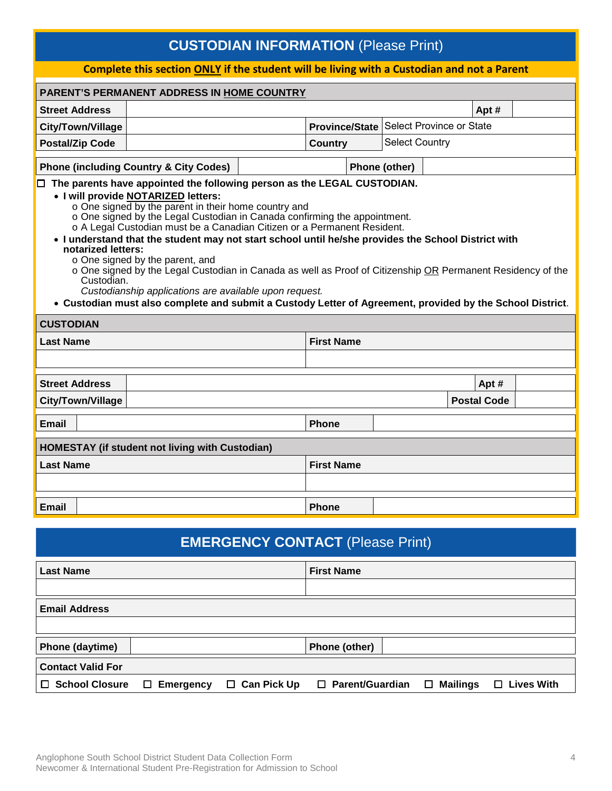### **CUSTODIAN INFORMATION** (Please Print)

#### **Complete this section ONLY if the student will be living with a Custodian and not a Parent PARENT'S PERMANENT ADDRESS IN HOME COUNTRY Street Address Apt #**  $\qquad$  **Apt #**  $\qquad$  **Apt #**  $\qquad$  **Apt # City/Town/Village Postal/Zip Code Country Phone (including Country & City Codes) Phone (other) Phone (other)** ☐ **The parents have appointed the following person as the LEGAL CUSTODIAN.** • **I will provide NOTARIZED letters:** o One signed by the parent in their home country and o One signed by the Legal Custodian in Canada confirming the appointment. o A Legal Custodian must be a Canadian Citizen or a Permanent Resident. • **I understand that the student may not start school until he/she provides the School District with notarized letters:** o One signed by the parent, and o One signed by the Legal Custodian in Canada as well as Proof of Citizenship OR Permanent Residency of the Custodian. *Custodianship applications are available upon request.* • **Custodian must also complete and submit a Custody Letter of Agreement, provided by the School District**. **CUSTODIAN Last Name First Name City/Town/Village Postal Code Email Phone HOMESTAY (if student not living with Custodian) Last Name First Name Email Phone Street Address Apt # Apt # Apt # Apt # Apt # Apt # Apt # Apt # Apt # Apt # Apt # Apt # Apt # Apt # Apt # Apt # Apt # Apt # Apt # Apt # Apt # Apt # Apt # Apt # Apt # Apt** Province/State Select Province or State Select Country

# **EMERGENCY CONTACT** (Please Print) **Last Name First Name Email Address Phone (daytime) Phone (other) Contact Valid For** ☐ **School Closure** ☐ **Emergency** ☐ **Can Pick Up** ☐ **Parent/Guardian** ☐ **Mailings** ☐ **Lives With**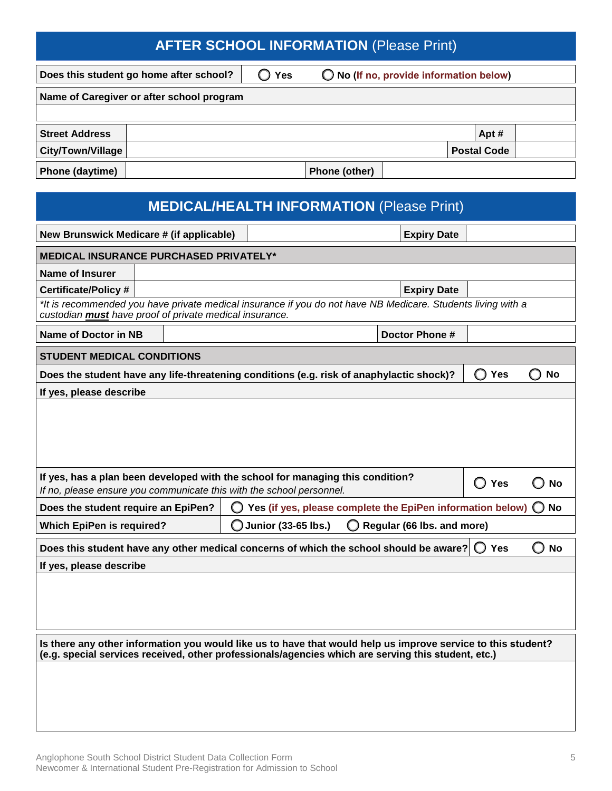### **AFTER SCHOOL INFORMATION** (Please Print)

**Does this student go home after school?** ☐ **Yes** ☐ **No (If no, provide information below)**

| <b>Street Address</b>    |               | Apt#               |  |
|--------------------------|---------------|--------------------|--|
| <b>City/Town/Village</b> |               | <b>Postal Code</b> |  |
| Phone (daytime)          | Phone (other) |                    |  |

| <b>MEDICAL/HEALTH INFORMATION (Please Print)</b>                                                                                                                                                                    |  |  |                                                                                                                                                        |                                                      |           |  |
|---------------------------------------------------------------------------------------------------------------------------------------------------------------------------------------------------------------------|--|--|--------------------------------------------------------------------------------------------------------------------------------------------------------|------------------------------------------------------|-----------|--|
| New Brunswick Medicare # (if applicable)                                                                                                                                                                            |  |  | <b>Expiry Date</b>                                                                                                                                     |                                                      |           |  |
| <b>MEDICAL INSURANCE PURCHASED PRIVATELY*</b>                                                                                                                                                                       |  |  |                                                                                                                                                        |                                                      |           |  |
| <b>Name of Insurer</b>                                                                                                                                                                                              |  |  |                                                                                                                                                        |                                                      |           |  |
| <b>Certificate/Policy#</b>                                                                                                                                                                                          |  |  | <b>Expiry Date</b>                                                                                                                                     |                                                      |           |  |
| custodian must have proof of private medical insurance.                                                                                                                                                             |  |  | *It is recommended you have private medical insurance if you do not have NB Medicare. Students living with a                                           |                                                      |           |  |
| <b>Name of Doctor in NB</b>                                                                                                                                                                                         |  |  | Doctor Phone #                                                                                                                                         |                                                      |           |  |
| <b>STUDENT MEDICAL CONDITIONS</b>                                                                                                                                                                                   |  |  |                                                                                                                                                        |                                                      |           |  |
|                                                                                                                                                                                                                     |  |  | Does the student have any life-threatening conditions (e.g. risk of anaphylactic shock)?                                                               | Yes                                                  | <b>No</b> |  |
| If yes, please describe                                                                                                                                                                                             |  |  |                                                                                                                                                        |                                                      |           |  |
|                                                                                                                                                                                                                     |  |  |                                                                                                                                                        |                                                      |           |  |
|                                                                                                                                                                                                                     |  |  | If yes, has a plan been developed with the school for managing this condition?<br>If no, please ensure you communicate this with the school personnel. | Yes<br>O                                             | <b>No</b> |  |
| Does the student require an EpiPen?                                                                                                                                                                                 |  |  | Yes (if yes, please complete the EpiPen information below) $\bigcirc$ No                                                                               |                                                      |           |  |
| <b>Which EpiPen is required?</b>                                                                                                                                                                                    |  |  | Junior (33-65 lbs.)<br>Regular (66 lbs. and more)                                                                                                      |                                                      |           |  |
|                                                                                                                                                                                                                     |  |  | Does this student have any other medical concerns of which the school should be aware?                                                                 | Yes<br>$\left( \begin{array}{c} \end{array} \right)$ | <b>No</b> |  |
| If yes, please describe                                                                                                                                                                                             |  |  |                                                                                                                                                        |                                                      |           |  |
|                                                                                                                                                                                                                     |  |  |                                                                                                                                                        |                                                      |           |  |
| Is there any other information you would like us to have that would help us improve service to this student?<br>(e.g. special services received, other professionals/agencies which are serving this student, etc.) |  |  |                                                                                                                                                        |                                                      |           |  |
|                                                                                                                                                                                                                     |  |  |                                                                                                                                                        |                                                      |           |  |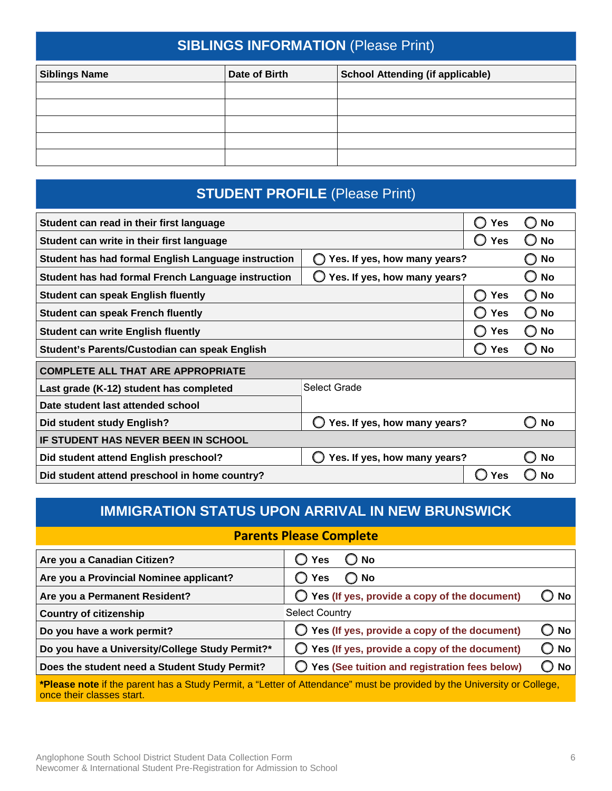### **SIBLINGS INFORMATION** (Please Print)

| <b>Siblings Name</b> | Date of Birth | <b>School Attending (if applicable)</b> |
|----------------------|---------------|-----------------------------------------|
|                      |               |                                         |
|                      |               |                                         |
|                      |               |                                         |
|                      |               |                                         |
|                      |               |                                         |

### **STUDENT PROFILE** (Please Print)

| Student can read in their first language            | <b>Yes</b>                   | <b>No</b>      |           |  |
|-----------------------------------------------------|------------------------------|----------------|-----------|--|
| Student can write in their first language           |                              | <b>Yes</b>     | <b>No</b> |  |
| Student has had formal English Language instruction | Yes. If yes, how many years? | No             |           |  |
| Student has had formal French Language instruction  | Yes. If yes, how many years? |                | No        |  |
| <b>Student can speak English fluently</b>           |                              | <b>Yes</b>     | No<br>Ω   |  |
| <b>Student can speak French fluently</b>            |                              | <b>Yes</b>     | No<br>O   |  |
| <b>Student can write English fluently</b>           | <b>Yes</b>                   | No<br>Ω        |           |  |
| Student's Parents/Custodian can speak English       | Yes                          | No<br>O        |           |  |
| <b>COMPLETE ALL THAT ARE APPROPRIATE</b>            |                              |                |           |  |
| Last grade (K-12) student has completed             | Select Grade                 |                |           |  |
| Date student last attended school                   |                              |                |           |  |
| Did student study English?                          | Yes. If yes, how many years? | <b>No</b><br>О |           |  |
| <b>IF STUDENT HAS NEVER BEEN IN SCHOOL</b>          |                              |                |           |  |
| Did student attend English preschool?               | Yes. If yes, how many years? |                | No        |  |
| Did student attend preschool in home country?       |                              | Yes            | <b>No</b> |  |

### **IMMIGRATION STATUS UPON ARRIVAL IN NEW BRUNSWICK**

#### **Parents Please Complete**

| Are you a Canadian Citizen?                     | $\bigcirc$ Yes<br>$\bigcirc$ No                                                                                              |
|-------------------------------------------------|------------------------------------------------------------------------------------------------------------------------------|
| Are you a Provincial Nominee applicant?         | $\bigcirc$ Yes<br>$\bigcirc$ No                                                                                              |
| Are you a Permanent Resident?                   | $\bigcirc$ Yes (If yes, provide a copy of the document)<br>$J$ No $^{-}$                                                     |
| <b>Country of citizenship</b>                   | <b>Select Country</b>                                                                                                        |
| Do you have a work permit?                      | $\bigcirc$ Yes (If yes, provide a copy of the document)<br>$\bigcirc$ No                                                     |
| Do you have a University/College Study Permit?* | $\bigcirc$ No<br>$\bigcirc$ Yes (If yes, provide a copy of the document)                                                     |
| Does the student need a Student Study Permit?   | ◯ Yes (See tuition and registration fees below)<br>$\supset$ No                                                              |
|                                                 | <b>*Digges note if the percept here. Ctudy Dermit a "Letter of Attendence" must be provided by the University or College</b> |

**\*Please note** if the parent has a Study Permit, a "Letter of Attendance" must be provided by the University or College, once their classes start.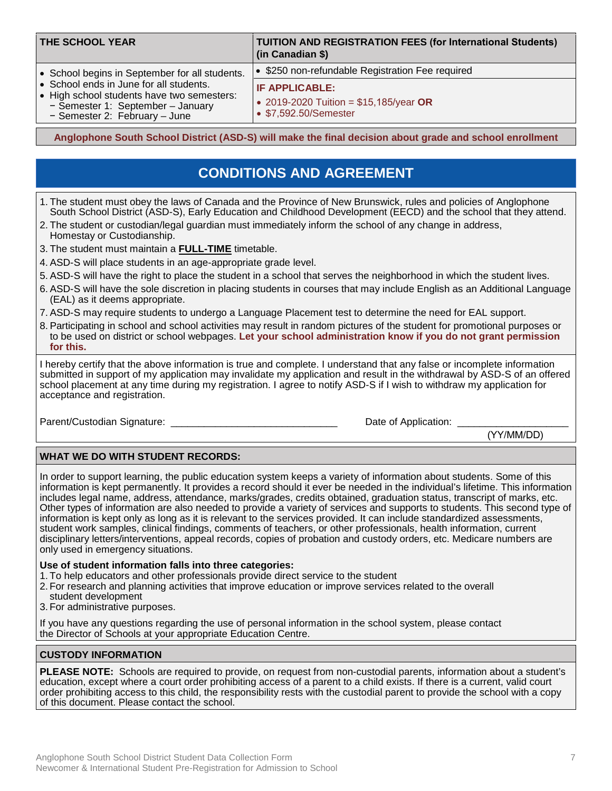| <b>THE SCHOOL YEAR</b>                                                                                                                                                                                        | <b>TUITION AND REGISTRATION FEES (for International Students)</b><br>(in Canadian \$)                                                         |  |  |  |
|---------------------------------------------------------------------------------------------------------------------------------------------------------------------------------------------------------------|-----------------------------------------------------------------------------------------------------------------------------------------------|--|--|--|
| • School begins in September for all students.<br>• School ends in June for all students.<br>• High school students have two semesters:<br>- Semester 1: September - January<br>- Semester 2: February - June | • \$250 non-refundable Registration Fee required<br><b>IF APPLICABLE:</b><br>• 2019-2020 Tuition = $$15,185/year$ OR<br>• \$7,592.50/Semester |  |  |  |

**Anglophone South School District (ASD-S) will make the final decision about grade and school enrollment**

### **CONDITIONS AND AGREEMENT**

- 1. The student must obey the laws of Canada and the Province of New Brunswick, rules and policies of Anglophone South School District (ASD-S), Early Education and Childhood Development (EECD) and the school that they attend.
- 2. The student or custodian/legal guardian must immediately inform the school of any change in address, Homestay or Custodianship.
- 3. The student must maintain a **FULL-TIME** timetable.
- 4. ASD-S will place students in an age-appropriate grade level.
- 5. ASD-S will have the right to place the student in a school that serves the neighborhood in which the student lives.
- 6. ASD-S will have the sole discretion in placing students in courses that may include English as an Additional Language (EAL) as it deems appropriate.
- 7. ASD-S may require students to undergo a Language Placement test to determine the need for EAL support.
- 8. Participating in school and school activities may result in random pictures of the student for promotional purposes or to be used on district or school webpages. **Let your school administration know if you do not grant permission for this.**

I hereby certify that the above information is true and complete. I understand that any false or incomplete information submitted in support of my application may invalidate my application and result in the withdrawal by ASD-S of an offered school placement at any time during my registration. I agree to notify ASD-S if I wish to withdraw my application for acceptance and registration.

Parent/Custodian Signature: \_\_\_\_\_\_\_\_\_\_\_\_\_\_\_\_\_\_\_\_\_\_\_\_\_\_\_\_\_\_ Date of Application: \_\_\_\_\_\_\_\_\_\_\_\_\_\_\_\_\_\_\_\_

(YY/MM/DD)

#### **WHAT WE DO WITH STUDENT RECORDS:**

In order to support learning, the public education system keeps a variety of information about students. Some of this information is kept permanently. It provides a record should it ever be needed in the individual's lifetime. This information includes legal name, address, attendance, marks/grades, credits obtained, graduation status, transcript of marks, etc. Other types of information are also needed to provide a variety of services and supports to students. This second type of information is kept only as long as it is relevant to the services provided. It can include standardized assessments, student work samples, clinical findings, comments of teachers, or other professionals, health information, current disciplinary letters/interventions, appeal records, copies of probation and custody orders, etc. Medicare numbers are only used in emergency situations.

#### **Use of student information falls into three categories:**

- 1. To help educators and other professionals provide direct service to the student
- 2. For research and planning activities that improve education or improve services related to the overall
- student development
- 3. For administrative purposes.

If you have any questions regarding the use of personal information in the school system, please contact the Director of Schools at your appropriate Education Centre.

#### **CUSTODY INFORMATION**

**PLEASE NOTE:** Schools are required to provide, on request from non-custodial parents, information about a student's education, except where a court order prohibiting access of a parent to a child exists. If there is a current, valid court order prohibiting access to this child, the responsibility rests with the custodial parent to provide the school with a copy of this document. Please contact the school.